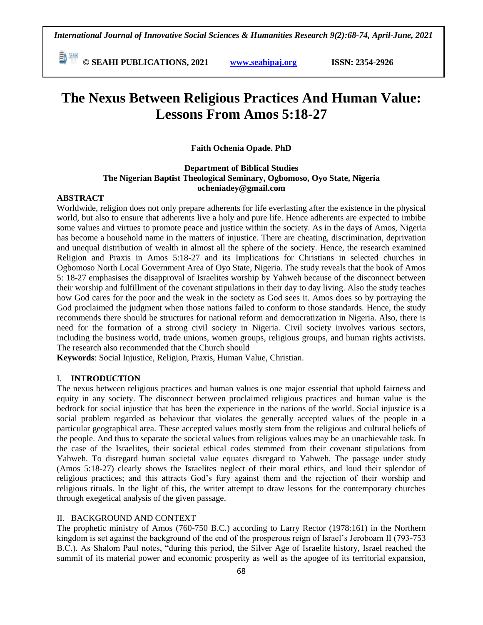**E**  $\frac{64}{30}$  **CM** © SEAHI PUBLICATIONS, 2021 *www.seahipaj.org* **ISSN: 2354-2926** 

# **The Nexus Between Religious Practices And Human Value: Lessons From Amos 5:18-27**

## **Faith Ochenia Opade. PhD**

## **Department of Biblical Studies The Nigerian Baptist Theological Seminary, Ogbomoso, Oyo State, Nigeria ocheniadey@gmail.com**

#### **ABSTRACT**

Worldwide, religion does not only prepare adherents for life everlasting after the existence in the physical world, but also to ensure that adherents live a holy and pure life. Hence adherents are expected to imbibe some values and virtues to promote peace and justice within the society. As in the days of Amos, Nigeria has become a household name in the matters of injustice. There are cheating, discrimination, deprivation and unequal distribution of wealth in almost all the sphere of the society. Hence, the research examined Religion and Praxis in Amos 5:18-27 and its Implications for Christians in selected churches in Ogbomoso North Local Government Area of Oyo State, Nigeria. The study reveals that the book of Amos 5: 18-27 emphasises the disapproval of Israelites worship by Yahweh because of the disconnect between their worship and fulfillment of the covenant stipulations in their day to day living. Also the study teaches how God cares for the poor and the weak in the society as God sees it. Amos does so by portraying the God proclaimed the judgment when those nations failed to conform to those standards. Hence, the study recommends there should be structures for national reform and democratization in Nigeria. Also, there is need for the formation of a strong civil society in Nigeria. Civil society involves various sectors, including the business world, trade unions, women groups, religious groups, and human rights activists. The research also recommended that the Church should

**Keywords**: Social Injustice, Religion, Praxis, Human Value, Christian.

## I. **INTRODUCTION**

The nexus between religious practices and human values is one major essential that uphold fairness and equity in any society. The disconnect between proclaimed religious practices and human value is the bedrock for social injustice that has been the experience in the nations of the world. Social injustice is a social problem regarded as behaviour that violates the generally accepted values of the people in a particular geographical area. These accepted values mostly stem from the religious and cultural beliefs of the people. And thus to separate the societal values from religious values may be an unachievable task. In the case of the Israelites, their societal ethical codes stemmed from their covenant stipulations from Yahweh. To disregard human societal value equates disregard to Yahweh. The passage under study (Amos 5:18-27) clearly shows the Israelites neglect of their moral ethics, and loud their splendor of religious practices; and this attracts God's fury against them and the rejection of their worship and religious rituals. In the light of this, the writer attempt to draw lessons for the contemporary churches through exegetical analysis of the given passage.

#### II. BACKGROUND AND CONTEXT

The prophetic ministry of Amos (760-750 B.C.) according to Larry Rector (1978:161) in the Northern kingdom is set against the background of the end of the prosperous reign of Israel's Jeroboam II (793-753 B.C.). As Shalom Paul notes, "during this period, the Silver Age of Israelite history, Israel reached the summit of its material power and economic prosperity as well as the apogee of its territorial expansion,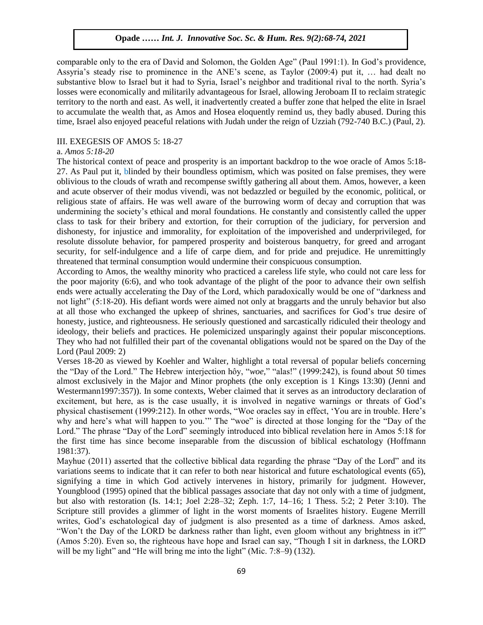comparable only to the era of David and Solomon, the Golden Age" (Paul 1991:1). In God's providence, Assyria's steady rise to prominence in the ANE's scene, as Taylor (2009:4) put it, … had dealt no substantive blow to Israel but it had to Syria, Israel's neighbor and traditional rival to the north. Syria's losses were economically and militarily advantageous for Israel, allowing Jeroboam II to reclaim strategic territory to the north and east. As well, it inadvertently created a buffer zone that helped the elite in Israel to accumulate the wealth that, as Amos and Hosea eloquently remind us, they badly abused. During this time, Israel also enjoyed peaceful relations with Judah under the reign of Uzziah (792-740 B.C.) (Paul, 2).

### III. EXEGESIS OF AMOS 5: 18-27

## a. *Amos 5:18-20*

The historical context of peace and prosperity is an important backdrop to the woe oracle of Amos 5:18-27. As Paul put it, blinded by their boundless optimism, which was posited on false premises, they were oblivious to the clouds of wrath and recompense swiftly gathering all about them. Amos, however, a keen and acute observer of their modus vivendi, was not bedazzled or beguiled by the economic, political, or religious state of affairs. He was well aware of the burrowing worm of decay and corruption that was undermining the society's ethical and moral foundations. He constantly and consistently called the upper class to task for their bribery and extortion, for their corruption of the judiciary, for perversion and dishonesty, for injustice and immorality, for exploitation of the impoverished and underprivileged, for resolute dissolute behavior, for pampered prosperity and boisterous banquetry, for greed and arrogant security, for self-indulgence and a life of carpe diem, and for pride and prejudice. He unremittingly threatened that terminal consumption would undermine their conspicuous consumption.

According to Amos, the wealthy minority who practiced a careless life style, who could not care less for the poor majority  $(6.6)$ , and who took advantage of the plight of the poor to advance their own selfish ends were actually accelerating the Day of the Lord, which paradoxically would be one of "darkness and not light" (5:18-20). His defiant words were aimed not only at braggarts and the unruly behavior but also at all those who exchanged the upkeep of shrines, sanctuaries, and sacrifices for God's true desire of honesty, justice, and righteousness. He seriously questioned and sarcastically ridiculed their theology and ideology, their beliefs and practices. He polemicized unsparingly against their popular misconceptions. They who had not fulfilled their part of the covenantal obligations would not be spared on the Day of the Lord (Paul 2009: 2)

Verses 18-20 as viewed by Koehler and Walter, highlight a total reversal of popular beliefs concerning the "Day of the Lord." The Hebrew interjection hôy, "woe," "alas!" (1999:242), is found about 50 times almost exclusively in the Major and Minor prophets (the only exception is 1 Kings 13:30) (Jenni and Westermann1997:357)). In some contexts, Weber claimed that it serves as an introductory declaration of excitement, but here, as is the case usually, it is involved in negative warnings or threats of God's physical chastisement (1999:212). In other words, "Woe oracles say in effect, 'You are in trouble. Here's why and here's what will happen to you.'" The "woe" is directed at those longing for the "Day of the Lord." The phrase "Day of the Lord" seemingly introduced into biblical revelation here in Amos 5:18 for the first time has since become inseparable from the discussion of biblical eschatology (Hoffmann 1981:37).

Mayhue  $(2011)$  asserted that the collective biblical data regarding the phrase "Day of the Lord" and its variations seems to indicate that it can refer to both near historical and future eschatological events (65), signifying a time in which God actively intervenes in history, primarily for judgment. However, Youngblood (1995) opined that the biblical passages associate that day not only with a time of judgment, but also with restoration (Is. 14:1; Joel 2:28–32; Zeph. 1:7, 14–16; 1 Thess. 5:2; 2 Peter 3:10). The Scripture still provides a glimmer of light in the worst moments of Israelites history. Eugene Merrill writes, God's eschatological day of judgment is also presented as a time of darkness. Amos asked, "Won't the Day of the LORD be darkness rather than light, even gloom without any brightness in it?" (Amos 5:20). Even so, the righteous have hope and Israel can say, "Though I sit in darkness, the LORD will be my light" and "He will bring me into the light" (Mic.  $7:8-9$ ) (132).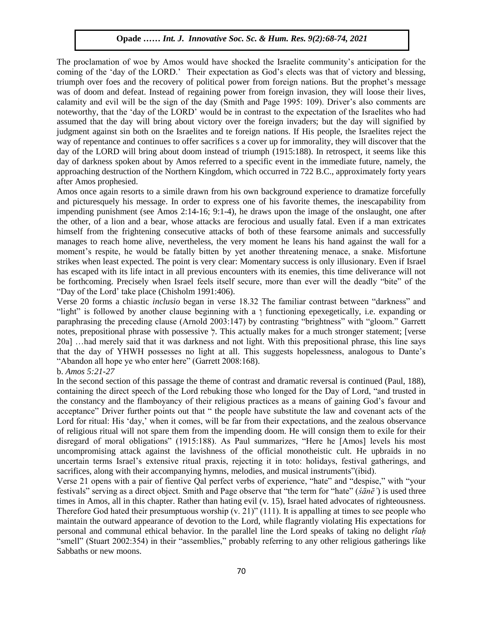The proclamation of woe by Amos would have shocked the Israelite community's anticipation for the coming of the 'day of the LORD.' Their expectation as God's elects was that of victory and blessing, triumph over foes and the recovery of political power from foreign nations. But the prophet's message was of doom and defeat. Instead of regaining power from foreign invasion, they will loose their lives, calamity and evil will be the sign of the day (Smith and Page 1995: 109). Driver's also comments are noteworthy, that the 'day of the LORD' would be in contrast to the expectation of the Israelites who had assumed that the day will bring about victory over the foreign invaders; but the day will signified by judgment against sin both on the Israelites and te foreign nations. If His people, the Israelites reject the way of repentance and continues to offer sacrifices s a cover up for immorality, they will discover that the day of the LORD will bring about doom instead of triumph (1915:188). In retrospect, it seems like this day of darkness spoken about by Amos referred to a specific event in the immediate future, namely, the approaching destruction of the Northern Kingdom, which occurred in 722 B.C., approximately forty years after Amos prophesied.

Amos once again resorts to a simile drawn from his own background experience to dramatize forcefully and picturesquely his message. In order to express one of his favorite themes, the inescapability from impending punishment (see Amos 2:14-16; 9:1-4), he draws upon the image of the onslaught, one after the other, of a lion and a bear, whose attacks are ferocious and usually fatal. Even if a man extricates himself from the frightening consecutive attacks of both of these fearsome animals and successfully manages to reach home alive, nevertheless, the very moment he leans his hand against the wall for a moment's respite, he would be fatally bitten by yet another threatening menace, a snake. Misfortune strikes when least expected. The point is very clear: Momentary success is only illusionary. Even if Israel has escaped with its life intact in all previous encounters with its enemies, this time deliverance will not be forthcoming. Precisely when Israel feels itself secure, more than ever will the deadly "bite" of the ―Day of the Lord' take place (Chisholm 1991:406).

Verse 20 forms a chiastic *inclusio* began in verse 18.32 The familiar contrast between "darkness" and "light" is followed by another clause beginning with a  $\gamma$  functioning epexegetically, i.e. expanding or paraphrasing the preceding clause (Arnold 2003:147) by contrasting "brightness" with "gloom." Garrett notes, prepositional phrase with possessive  $\ddot{\phi}$ . This actually makes for a much stronger statement; [verse 20a] …had merely said that it was darkness and not light. With this prepositional phrase, this line says that the day of YHWH possesses no light at all. This suggests hopelessness, analogous to Dante's "Abandon all hope ye who enter here" (Garrett 2008:168).

#### b. *Amos 5:21-27*

In the second section of this passage the theme of contrast and dramatic reversal is continued (Paul, 188), containing the direct speech of the Lord rebuking those who longed for the Day of Lord, "and trusted in the constancy and the flamboyancy of their religious practices as a means of gaining God's favour and acceptance" Driver further points out that " the people have substitute the law and covenant acts of the Lord for ritual: His 'day,' when it comes, will be far from their expectations, and the zealous observance of religious ritual will not spare them from the impending doom. He will consign them to exile for their disregard of moral obligations" (1915:188). As Paul summarizes, "Here he [Amos] levels his most uncompromising attack against the lavishness of the official monotheistic cult. He upbraids in no uncertain terms Israel's extensive ritual praxis, rejecting it in toto: holidays, festival gatherings, and sacrifices, along with their accompanying hymns, melodies, and musical instruments'(ibid).

Verse 21 opens with a pair of fientive Qal perfect verbs of experience, "hate" and "despise," with "your festivals" serving as a direct object. Smith and Page observe that "the term for "hate" (*śānē*') is used three times in Amos, all in this chapter. Rather than hating evil (v. 15), Israel hated advocates of righteousness. Therefore God hated their presumptuous worship  $(v. 21)$ " (111). It is appalling at times to see people who maintain the outward appearance of devotion to the Lord, while flagrantly violating His expectations for personal and communal ethical behavior. In the parallel line the Lord speaks of taking no delight *rîaḥ* "smell" (Stuart 2002:354) in their "assemblies," probably referring to any other religious gatherings like Sabbaths or new moons.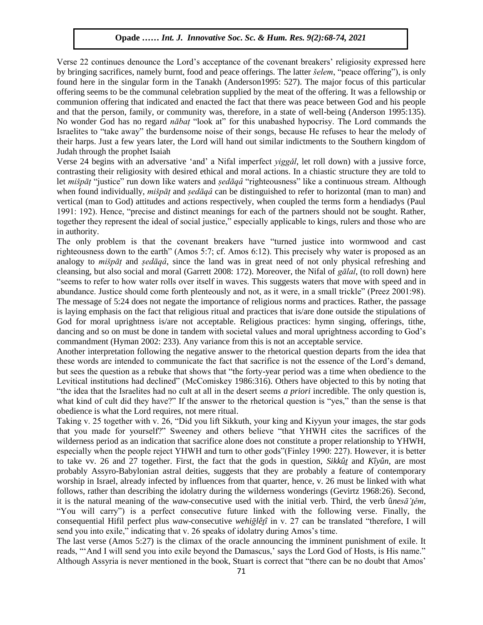Verse 22 continues denounce the Lord's acceptance of the covenant breakers' religiosity expressed here by bringing sacrifices, namely burnt, food and peace offerings. The latter *šelem*, "peace offering"), is only Found here in the singular form in the Tanakh (Anderson1995: 527). The major focus of this particular bound here in the singular form in the Tanakh (Anderson1995: 527). The major focus of this particular offering seems to be the communal celebration supplied by the meat of the offering. It was a fellowship or communion offering that indicated and enacted the fact that there was peace between God and his people and that the person, family, or community was, therefore, in a state of well-being (Anderson 1995:135). and that the person, rannity, or commandy was, therefore, in a state of went comp<sub>s</sub> (*material 1336/1583)*.<br>No wonder God has no regard *nābat* "look at" for this unabashed hypocrisy. The Lord commands the Israelites to "take away" the burdensome noise of their songs, because He refuses to hear the melody of their harps. Just a few years later, the Lord will hand out similar indictments to the Southern kingdom of Judah through the prophet Isaiah

verse 24 begins with an adversative 'and' a Nifal imperfect *yiggǎl*, let roll down) with a jussive force, contrasting their religiosity with desired ethical and moral actions. In a chiastic structure they are told to let *mišpāt* "justice" run down like waters and *ṣedāqâ* "righteousness" like a continuous stream. Although when found individually, *mišpāṭ* and *ṣedāqâ* can be distinguished to refer to horizontal (man to man) and vertical (man to God) attitudes and actions respectively, when coupled the terms form a hendiadys (Paul vertical (man to God) attitudes and actions respectively, when coupled the terms form a hendiadys (Paul 1991: 192). Hence, "precise and distinct meanings for each of the partners should not be sought. Rather, together they represent the ideal of social justice," especially applicable to kings, rulers and those who are in authority.

The only problem is that the covenant breakers have "turned justice into wormwood and cast righteousness down to the earth" (Amos 5:7; cf. Amos 6:12). This precisely why water is proposed as an analogy to *mišpāṭ* and *ṣedāqâ*, since the land was in great need of not only physical refreshing and cleansing, but also social and moral (Garrett 2008: 172). Moreover, the Nifal of *gālal*, (to roll down) here "seems to refer to how water rolls over itself in waves. This suggests waters that move with speed and in abundance. Justice should come forth plenteously and not, as it were, in a small trickle" (Preez 2001:98). The message of 5:24 does not negate the importance of religious norms and practices. Rather, the passage is laying emphasis on the fact that religious ritual and practices that is/are done outside the stipulations of God for moral uprightness is/are not acceptable. Religious practices: hymn singing, offerings, tithe, dancing and so on must be done in tandem with societal values and moral uprightness according to God's commandment (Hyman 2002: 233). Any variance from this is not an acceptable service.

Another interpretation following the negative answer to the rhetorical question departs from the idea that these words are intended to communicate the fact that sacrifice is not the essence of the Lord's demand, but sees the question as a rebuke that shows that "the forty-year period was a time when obedience to the Levitical institutions had declined" (McComiskey 1986:316). Others have objected to this by noting that ―the idea that the Israelites had no cult at all in the desert seems *a priori* incredible. The only question is, what kind of cult did they have?" If the answer to the rhetorical question is "yes," than the sense is that obedience is what the Lord requires, not mere ritual.

Taking v. 25 together with v. 26, "Did you lift Sikkuth, your king and Kiyyun your images, the star gods that you made for yourself?" Sweeney and others believe "that YHWH cites the sacrifices of the wilderness period as an indication that sacrifice alone does not constitute a proper relationship to YHWH, especially when the people reject YHWH and turn to other gods"(Finley 1990: 227). However, it is better to take vv. 26 and 27 together. First, the fact that the gods in question, *Sikkût* and *Kîyûn*, are most probably Assyro-Babylonian astral deities, suggests that they are probably a feature of contemporary worship in Israel, already infected by influences from that quarter, hence, v. 26 must be linked with what follows, rather than describing the idolatry during the wilderness wonderings (Gevirtz 1968:26). Second, it is the natural meaning of the *waw*-consecutive used with the initial verb. Third, the verb û*nesā 'těm*, ―You will carry‖) is a perfect consecutive future linked with the following verse. Finally, the consequential Hifil perfect plus *waw*-consecutive *wehiglêtî* in v. 27 can be translated "therefore, I will send you into exile," indicating that v. 26 speaks of idolatry during Amos's time.

The last verse (Amos 5:27) is the climax of the oracle announcing the imminent punishment of exile. It reads, "And I will send you into exile beyond the Damascus,' says the Lord God of Hosts, is His name." Although Assyria is never mentioned in the book, Stuart is correct that "there can be no doubt that Amos"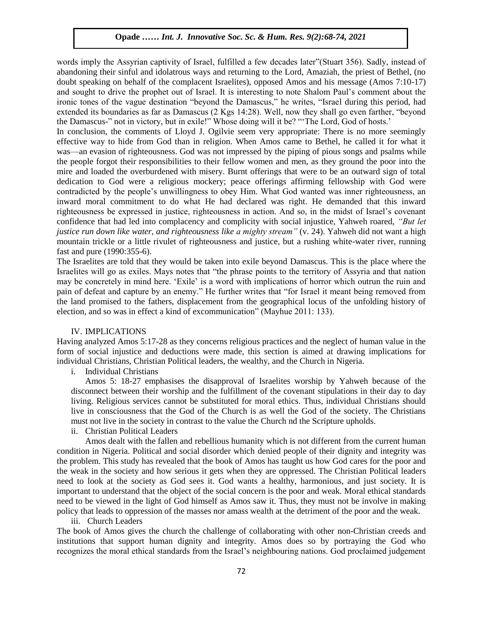words imply the Assyrian captivity of Israel, fulfilled a few decades later"(Stuart 356). Sadly, instead of abandoning their sinful and idolatrous ways and returning to the Lord, Amaziah, the priest of Bethel, (no doubt speaking on behalf of the complacent Israelites), opposed Amos and his message (Amos 7:10-17) and sought to drive the prophet out of Israel. It is interesting to note Shalom Paul's comment about the ironic tones of the vague destination "beyond the Damascus," he writes, "Israel during this period, had extended its boundaries as far as Damascus (2 Kgs 14:28). Well, now they shall go even farther, "beyond" the Damascus-" not in victory, but in exile!" Whose doing will it be? "The Lord, God of hosts."

In conclusion, the comments of Lloyd J. Ogilvie seem very appropriate: There is no more seemingly effective way to hide from God than in religion. When Amos came to Bethel, he called it for what it was—an evasion of righteousness. God was not impressed by the piping of pious songs and psalms while the people forgot their responsibilities to their fellow women and men, as they ground the poor into the meople forgot their responsibilities to their fellow women and men, as they ground the poor into the mire and loaded the overburdened with misery. Burnt offerings that were to be an outward sign of total dedication to God were a religious mockery; peace offerings affirming fellowship with God were contradicted by the people's unwillingness to obey Him. What God wanted was inner righteousness, an inward moral commitment to do what He had declared was right. He demanded that this inward inward righteousness be expressed in justice, righteousness in action. And so, in the midst of Israel's covenant confidence that had led into complacency and complicity with social injustice, Yahweh roared, *"But let justice run down like water, and righteousness like a mighty stream"* (v. 24). Yahweh did not want a high mountain trickle or a little rivulet of righteousness and justice, but a rushing white-water river, running mountain trickle or a little rivulet of righteousness and justice, but a rushing white-water river, running fast and pure (1990:355-6).

The Israelites are told that they would be taken into exile beyond Damascus. This is the place where the Israelites will go as exiles. Mays notes that "the phrase points to the territory of Assyria and that nation may be concretely in mind here. 'Exile' is a word with implications of horror which outrun the ruin and may be concretely in mind here. 'Exile' is a word with implications of horror which outrun the ruin and pain of defeat and capture by an enemy." He further writes that "for Israel it meant being removed from the land promised to the fathers, displacement from the geographical locus of the unfolding history of election, and so was in effect a kind of excommunication" (Mayhue 2011: 133).  $\mathcal{L}$  are so was in view while so encommensured  $\left(\frac{1}{\ln n}\right)$  involves  $\mathcal{L}$  in  $\mathcal{L}$ 

#### IV. IMPLICATIONS

Having analyzed Amos 5:17-28 as they concerns religious practices and the neglect of human value in the form of social injustice and deductions were made, this section is aimed at drawing implications for individual Christians, Christian Political leaders, the wealthy, and the Church in Nigeria.

i. Individual Christians

Amos 5: 18-27 emphasises the disapproval of Israelites worship by Yahweh because of the disconnect between their worship and the fulfillment of the covenant stipulations in their day to day living. Religious services cannot be substituted for moral ethics. Thus, individual Christians should live in consciousness that the God of the Church is as well the God of the society. The Christians must not live in the society in contrast to the value the Church nd the Scripture upholds.

ii. Christian Political Leaders

Amos dealt with the fallen and rebellious humanity which is not different from the current human condition in Nigeria. Political and social disorder which denied people of their dignity and integrity was the problem. This study has revealed that the book of Amos has taught us how God cares for the poor and the weak in the society and how serious it gets when they are oppressed. The Christian Political leaders need to look at the society as God sees it. God wants a healthy, harmonious, and just society. It is important to understand that the object of the social concern is the poor and weak. Moral ethical standards need to be viewed in the light of God himself as Amos saw it. Thus, they must not be involve in making policy that leads to oppression of the masses nor amass wealth at the detriment of the poor and the weak.

# iii. Church Leaders

The book of Amos gives the church the challenge of collaborating with other non-Christian creeds and institutions that support human dignity and integrity. Amos does so by portraying the God who recognizes the moral ethical standards from the Israel's neighbouring nations. God proclaimed judgement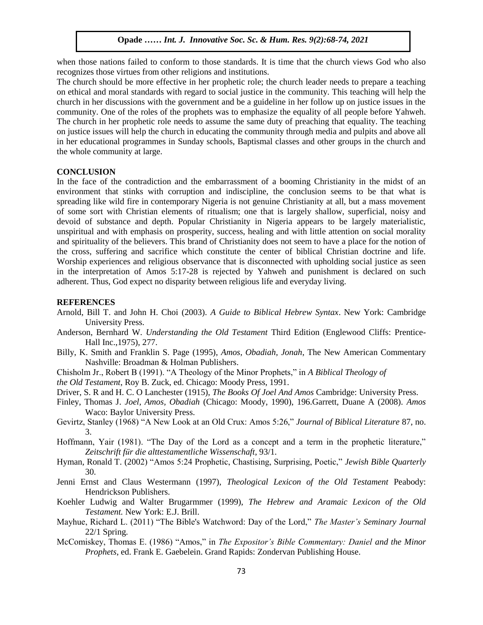when those nations failed to conform to those standards. It is time that the church views God who also recognizes those virtues from other religions and institutions.

The church should be more effective in her prophetic role; the church leader needs to prepare a teaching on ethical and moral standards with regard to social justice in the community. This teaching will help the church in her discussions with the government and be a guideline in her follow up on justice issues in the community. One of the roles of the prophets was to emphasize the equality of all people before Yahweh. The church in her prophetic role needs to assume the same duty of preaching that equality. The teaching on justice issues will help the church in educating the community through media and pulpits and above all in her educational programmes in Sunday schools, Baptismal classes and other groups in the church and the whole community at large.

### **CONCLUSION**

In the face of the contradiction and the embarrassment of a booming Christianity in the midst of an environment that stinks with corruption and indiscipline, the conclusion seems to be that what is spreading like wild fire in contemporary Nigeria is not genuine Christianity at all, but a mass movement of some sort with Christian elements of ritualism; one that is largely shallow, superficial, noisy and devoid of substance and depth. Popular Christianity in Nigeria appears to be largely materialistic, unspiritual and with emphasis on prosperity, success, healing and with little attention on social morality and spirituality of the believers. This brand of Christianity does not seem to have a place for the notion of the cross, suffering and sacrifice which constitute the center of biblical Christian doctrine and life. Worship experiences and religious observance that is disconnected with upholding social justice as seen in the interpretation of Amos 5:17-28 is rejected by Yahweh and punishment is declared on such adherent. Thus, God expect no disparity between religious life and everyday living.

#### **REFERENCES**

- Arnold, Bill T. and John H. Choi (2003). *A Guide to Biblical Hebrew Syntax*. New York: Cambridge University Press.
- Anderson, Bernhard W. *Understanding the Old Testament* Third Edition (Englewood Cliffs: Prentice-Hall Inc.,1975), 277.
- Billy, K. Smith and Franklin S. Page (1995), *Amos, Obadiah, Jonah*, The New American Commentary Nashville: Broadman & Holman Publishers.
- Chisholm Jr., Robert B (1991). "A Theology of the Minor Prophets," in *A Biblical Theology of*

*the Old Testament*, Roy B. Zuck, ed. Chicago: Moody Press, 1991.

- Driver, S. R and H. C. O Lanchester (1915), *The Books Of Joel And Amos* Cambridge: University Press.
- Finley, Thomas J. *Joel, Amos, Obadiah* (Chicago: Moody, 1990), 196.Garrett, Duane A (2008). *Amos*  Waco: Baylor University Press.
- Gevirtz, Stanley (1968) "A New Look at an Old Crux: Amos 5:26," *Journal of Biblical Literature* 87, no. 3.

Hoffmann, Yair (1981). "The Day of the Lord as a concept and a term in the prophetic literature," Zeitschrift für die alttestamentliche Wissenschaft, 93/1.

- Hyman, Ronald T. (2002) "Amos 5:24 Prophetic, Chastising, Surprising, Poetic," *Jewish Bible Quarterly* 30.
- Jenni Ernst and Claus Westermann (1997), *Theological Lexicon of the Old Testament* Peabody: Hendrickson Publishers.
- Koehler Ludwig and Walter Brugarmmer (1999), *The Hebrew and Aramaic Lexicon of the Old Testament.* New York: E.J. Brill.
- Mayhue, Richard L. (2011) "The Bible's Watchword: Day of the Lord," The Master's Seminary Journal 22/1 Spring.
- McComiskey, Thomas E. (1986) "Amos," in *The Expositor's Bible Commentary: Daniel and the Minor Prophets*, ed. Frank E. Gaebelein. Grand Rapids: Zondervan Publishing House.